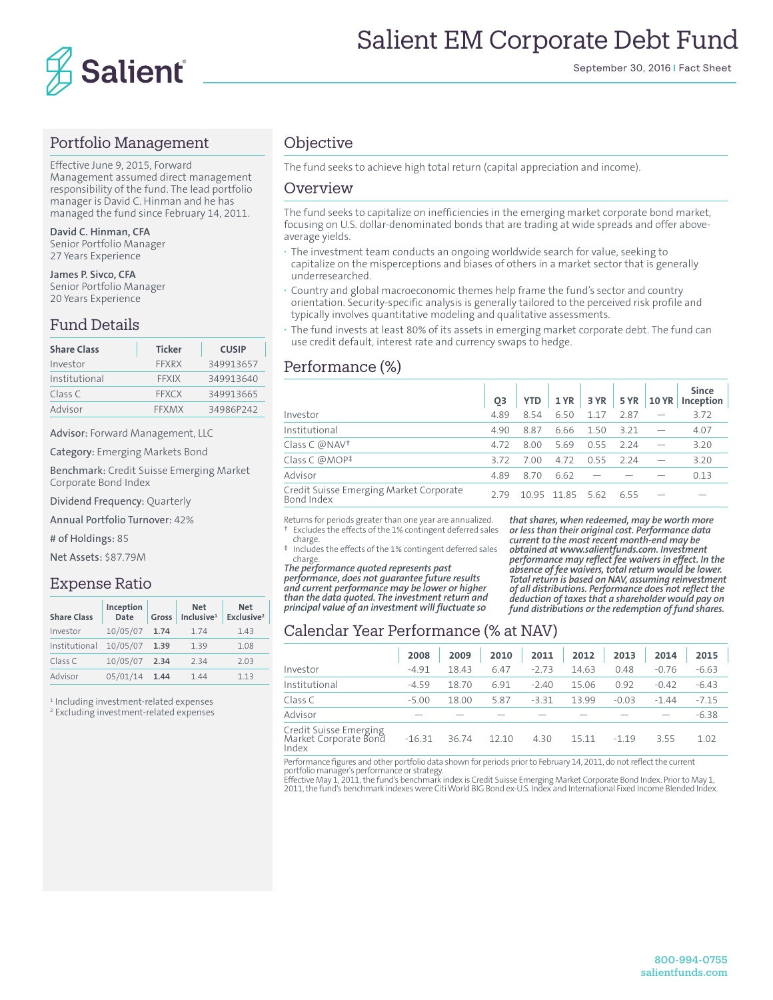

## Portfolio Management

Effective June 9, 2015, Forward Management assumed direct management responsibility of the fund. The lead portfolio manager is David C. Hinman and he has managed the fund since February 14, 2011.

**David C. Hinman, CFA** Senior Portfolio Manager 27 Years Experience

**James P. Sivco, CFA** Senior Portfolio Manager 20 Years Experience

## Fund Details

| <b>Share Class</b> | <b>Ticker</b> | <b>CUSIP</b> |
|--------------------|---------------|--------------|
| Investor           | FFXRX         | 349913657    |
| Institutional      | <b>FFXIX</b>  | 349913640    |
| Class C            | <b>FFXCX</b>  | 349913665    |
| Advisor            | FFXMX         | 34986P242    |

Advisor: Forward Management, LLC

Category: Emerging Markets Bond

Benchmark: Credit Suisse Emerging Market Corporate Bond Index

Dividend Frequency: Quarterly

Annual Portfolio Turnover: 42%

# of Holdings: 85

Net Assets: \$87.79M

#### Expense Ratio

| <b>Share Class</b> | Inception<br><b>Date</b> | Gross | <b>Net</b><br>Inclusive <sup>1</sup> | <b>Net</b><br>Exclusive <sup>2</sup> |
|--------------------|--------------------------|-------|--------------------------------------|--------------------------------------|
| Investor           | 10/05/07                 | 1.74  | 1.74                                 | 1.43                                 |
| Institutional      | 10/05/07                 | 1.39  | 1.39                                 | 1.08                                 |
| Class C            | 10/05/07                 | 2.34  | 234                                  | 2.03                                 |
| Advisor            | 05/01/14                 | 1.44  | 144                                  | 1.13                                 |

1 Including investment-related expenses

2 Excluding investment-related expenses

## **Objective**

The fund seeks to achieve high total return (capital appreciation and income).

#### Overview

The fund seeks to capitalize on inefficiencies in the emerging market corporate bond market, focusing on U.S. dollar-denominated bonds that are trading at wide spreads and offer aboveaverage yields.

- **·** The investment team conducts an ongoing worldwide search for value, seeking to capitalize on the misperceptions and biases of others in a market sector that is generally underresearched.
- **·** Country and global macroeconomic themes help frame the fund's sector and country orientation. Security-specific analysis is generally tailored to the perceived risk profile and typically involves quantitative modeling and qualitative assessments.
- **·** The fund invests at least 80% of its assets in emerging market corporate debt. The fund can use credit default, interest rate and currency swaps to hedge.

## Performance (%)

|                                                       | O3   | <b>YTD</b> | 1 YR | 3 YR  | 5 YR  | <b>10 YR</b> | <b>Since</b><br>Inception |
|-------------------------------------------------------|------|------------|------|-------|-------|--------------|---------------------------|
| Investor                                              | 4.89 | 8.54       | 6.50 | 1 1 7 | 2.87  |              | 3.72                      |
| Institutional                                         | 4.90 | 8.87       | 6.66 | 1.50  | 3 2 1 |              | 4.07                      |
| Class C @NAV <sup>+</sup>                             | 4.72 | 8.00       | 569  | 0.55  | 224   |              | 3.20                      |
| Class C $@MOP^{\ddagger}$                             | 372  | 7.00       | 4.72 | 0.55  | 224   |              | 3.20                      |
| Advisor                                               | 4.89 | 8.70       | 6.62 |       |       |              | 0.13                      |
| Credit Suisse Emerging Market Corporate<br>Bond Index | 2.79 | 1095       | 1185 | -5.62 | 655   |              |                           |

Returns for periods greater than one year are annualized. † Excludes the effects of the 1% contingent deferred sales

 charge. ‡ Includes the effects of the 1% contingent deferred sales charge.

*The performance quoted represents past performance, does not guarantee future results and current performance may be lower or higher than the data quoted. The investment return and principal value of an investment will fluctuate so* 

*that shares, when redeemed, may be worth more or less than their original cost. Performance data current to the most recent month-end may be obtained at www.salientfunds.com. Investment performance may reflect fee waivers in effect. In the absence of fee waivers, total return would be lower. Total return is based on NAV, assuming reinvestment of all distributions. Performance does not reflect the deduction of taxes that a shareholder would pay on fund distributions or the redemption of fund shares.*

## Calendar Year Performance (% at NAV)

|                                                          | 2008     | 2009  | 2010  | 2011    | 2012  | 2013    | 2014    | 2015    |
|----------------------------------------------------------|----------|-------|-------|---------|-------|---------|---------|---------|
| Investor                                                 | $-4.91$  | 18.43 | 6.47  | $-2.73$ | 14.63 | 0.48    | $-0.76$ | $-6.63$ |
| Institutional                                            | $-4.59$  | 18.70 | 6.91  | $-2.40$ | 15.06 | 0.92    | $-0.42$ | $-6.43$ |
| Class C                                                  | $-5.00$  | 18.00 | 5.87  | $-3.31$ | 1399  | $-0.03$ | $-1.44$ | $-7.15$ |
| Advisor                                                  |          |       |       |         |       |         |         | $-6.38$ |
| Credit Suisse Emerging<br>Market Corporate Bond<br>Index | $-16.31$ | 36.74 | 12.10 | 4.30    | 1511  | $-119$  | 355     | 1.02    |

Performance figures and other portfolio data shown for periods prior to February 14, 2011, do not reflect the current<br>portfolio manager's performance or strategy.<br>Effective May 1, 2011, the fund's benchmark index is Credit